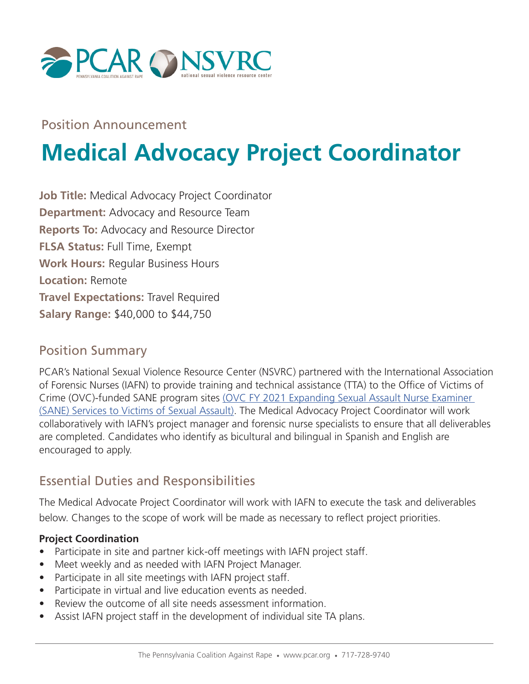

Position Announcement

# **Medical Advocacy Project Coordinator**

**Job Title:** Medical Advocacy Project Coordinator **Department:** Advocacy and Resource Team **Reports To:** Advocacy and Resource Director **FLSA Status:** Full Time, Exempt **Work Hours:** Regular Business Hours **Location:** Remote **Travel Expectations:** Travel Required **Salary Range:** \$40,000 to \$44,750

#### Position Summary

PCAR's National Sexual Violence Resource Center (NSVRC) partnered with the International Association of Forensic Nurses (IAFN) to provide training and technical assistance (TTA) to the Office of Victims of Crime (OVC)-funded SANE program sites (OVC FY 2021 Expanding Sexual Assault Nurse Examiner (SANE) Services to Victims of Sexual Assault). The Medical Advocacy Project Coordinator will work collaboratively with IAFN's project manager and forensic nurse specialists to ensure that all deliverables are completed. Candidates who identify as bicultural and bilingual in Spanish and English are encouraged to apply.

# Essential Duties and Responsibilities

The Medical Advocate Project Coordinator will work with IAFN to execute the task and deliverables below. Changes to the scope of work will be made as necessary to reflect project priorities.

#### **Project Coordination**

- Participate in site and partner kick-off meetings with IAFN project staff.
- Meet weekly and as needed with IAFN Project Manager.
- Participate in all site meetings with IAFN project staff.
- Participate in virtual and live education events as needed.
- Review the outcome of all site needs assessment information.
- Assist IAFN project staff in the development of individual site TA plans.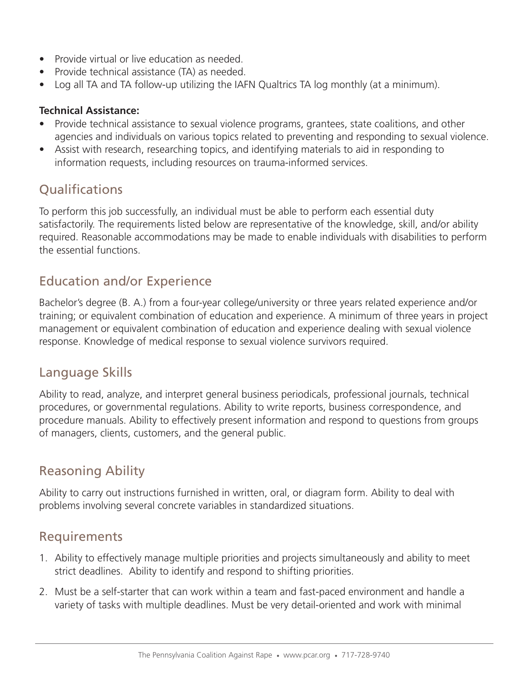- Provide virtual or live education as needed.
- Provide technical assistance (TA) as needed.
- Log all TA and TA follow-up utilizing the IAFN Qualtrics TA log monthly (at a minimum).

#### **Technical Assistance:**

- Provide technical assistance to sexual violence programs, grantees, state coalitions, and other agencies and individuals on various topics related to preventing and responding to sexual violence.
- Assist with research, researching topics, and identifying materials to aid in responding to information requests, including resources on trauma-informed services.

# **Qualifications**

To perform this job successfully, an individual must be able to perform each essential duty satisfactorily. The requirements listed below are representative of the knowledge, skill, and/or ability required. Reasonable accommodations may be made to enable individuals with disabilities to perform the essential functions.

# Education and/or Experience

Bachelor's degree (B. A.) from a four-year college/university or three years related experience and/or training; or equivalent combination of education and experience. A minimum of three years in project management or equivalent combination of education and experience dealing with sexual violence response. Knowledge of medical response to sexual violence survivors required.

# Language Skills

Ability to read, analyze, and interpret general business periodicals, professional journals, technical procedures, or governmental regulations. Ability to write reports, business correspondence, and procedure manuals. Ability to effectively present information and respond to questions from groups of managers, clients, customers, and the general public.

# Reasoning Ability

Ability to carry out instructions furnished in written, oral, or diagram form. Ability to deal with problems involving several concrete variables in standardized situations.

# Requirements

- 1. Ability to effectively manage multiple priorities and projects simultaneously and ability to meet strict deadlines. Ability to identify and respond to shifting priorities.
- 2. Must be a self-starter that can work within a team and fast-paced environment and handle a variety of tasks with multiple deadlines. Must be very detail-oriented and work with minimal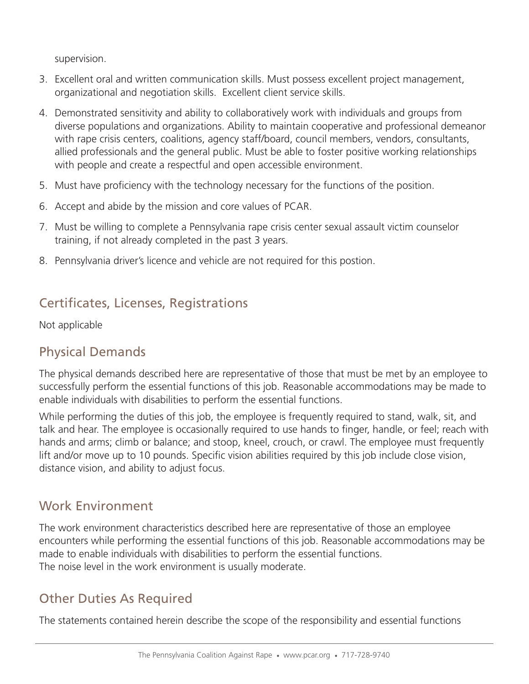supervision.

- 3. Excellent oral and written communication skills. Must possess excellent project management, organizational and negotiation skills. Excellent client service skills.
- 4. Demonstrated sensitivity and ability to collaboratively work with individuals and groups from diverse populations and organizations. Ability to maintain cooperative and professional demeanor with rape crisis centers, coalitions, agency staff/board, council members, vendors, consultants, allied professionals and the general public. Must be able to foster positive working relationships with people and create a respectful and open accessible environment.
- 5. Must have proficiency with the technology necessary for the functions of the position.
- 6. Accept and abide by the mission and core values of PCAR.
- 7. Must be willing to complete a Pennsylvania rape crisis center sexual assault victim counselor training, if not already completed in the past 3 years.
- 8. Pennsylvania driver's licence and vehicle are not required for this postion.

# Certificates, Licenses, Registrations

Not applicable

# Physical Demands

The physical demands described here are representative of those that must be met by an employee to successfully perform the essential functions of this job. Reasonable accommodations may be made to enable individuals with disabilities to perform the essential functions.

While performing the duties of this job, the employee is frequently required to stand, walk, sit, and talk and hear. The employee is occasionally required to use hands to finger, handle, or feel; reach with hands and arms; climb or balance; and stoop, kneel, crouch, or crawl. The employee must frequently lift and/or move up to 10 pounds. Specific vision abilities required by this job include close vision, distance vision, and ability to adjust focus.

# Work Environment

The work environment characteristics described here are representative of those an employee encounters while performing the essential functions of this job. Reasonable accommodations may be made to enable individuals with disabilities to perform the essential functions. The noise level in the work environment is usually moderate.

# Other Duties As Required

The statements contained herein describe the scope of the responsibility and essential functions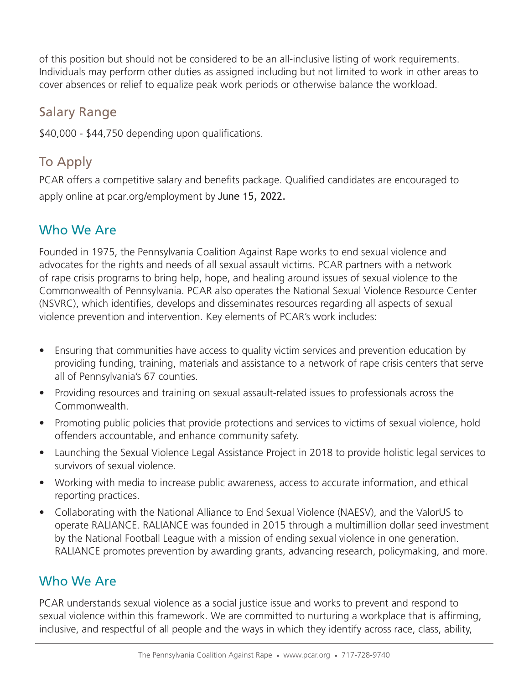of this position but should not be considered to be an all-inclusive listing of work requirements. Individuals may perform other duties as assigned including but not limited to work in other areas to cover absences or relief to equalize peak work periods or otherwise balance the workload.

#### Salary Range

\$40,000 - \$44,750 depending upon qualifications.

# To Apply

PCAR offers a competitive salary and benefits package. Qualified candidates are encouraged to apply online at pcar.org/employment by June 15, 2022.

#### Who We Are

Founded in 1975, the Pennsylvania Coalition Against Rape works to end sexual violence and advocates for the rights and needs of all sexual assault victims. PCAR partners with a network of rape crisis programs to bring help, hope, and healing around issues of sexual violence to the Commonwealth of Pennsylvania. PCAR also operates the National Sexual Violence Resource Center (NSVRC), which identifies, develops and disseminates resources regarding all aspects of sexual violence prevention and intervention. Key elements of PCAR's work includes:

- Ensuring that communities have access to quality victim services and prevention education by providing funding, training, materials and assistance to a network of rape crisis centers that serve all of Pennsylvania's 67 counties.
- Providing resources and training on sexual assault-related issues to professionals across the Commonwealth.
- Promoting public policies that provide protections and services to victims of sexual violence, hold offenders accountable, and enhance community safety.
- Launching the Sexual Violence Legal Assistance Project in 2018 to provide holistic legal services to survivors of sexual violence.
- Working with media to increase public awareness, access to accurate information, and ethical reporting practices.
- Collaborating with the National Alliance to End Sexual Violence (NAESV), and the ValorUS to operate RALIANCE. RALIANCE was founded in 2015 through a multimillion dollar seed investment by the National Football League with a mission of ending sexual violence in one generation. RALIANCE promotes prevention by awarding grants, advancing research, policymaking, and more.

# Who We Are

PCAR understands sexual violence as a social justice issue and works to prevent and respond to sexual violence within this framework. We are committed to nurturing a workplace that is affirming, inclusive, and respectful of all people and the ways in which they identify across race, class, ability,